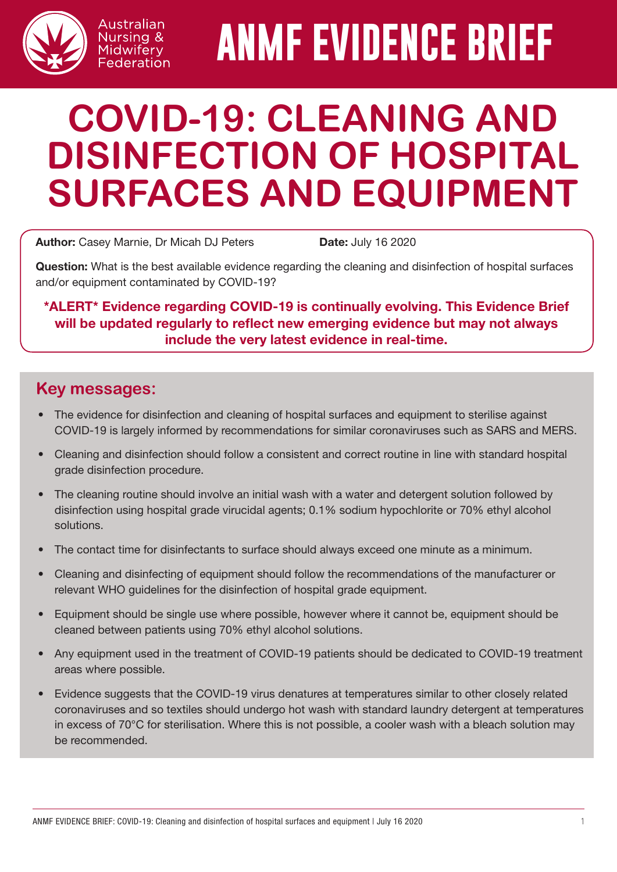

# **ANMF EVIDENCE BRIEF**

# **COVID-19: CLEANING AND DISINFECTION OF HOSPITAL SURFACES AND EQUIPMENT**

Author: Casey Marnie, Dr Micah DJ Peters Date: July 16 2020

Australian Nursing & Midwifery Federation

Question: What is the best available evidence regarding the cleaning and disinfection of hospital surfaces and/or equipment contaminated by COVID-19?

#### \*ALERT\* Evidence regarding COVID-19 is continually evolving. This Evidence Brief will be updated regularly to reflect new emerging evidence but may not always include the very latest evidence in real-time.

# **Key messages:**

- The evidence for disinfection and cleaning of hospital surfaces and equipment to sterilise against COVID-19 is largely informed by recommendations for similar coronaviruses such as SARS and MERS.
- Cleaning and disinfection should follow a consistent and correct routine in line with standard hospital grade disinfection procedure.
- The cleaning routine should involve an initial wash with a water and detergent solution followed by disinfection using hospital grade virucidal agents; 0.1% sodium hypochlorite or 70% ethyl alcohol solutions.
- The contact time for disinfectants to surface should always exceed one minute as a minimum.
- Cleaning and disinfecting of equipment should follow the recommendations of the manufacturer or relevant WHO guidelines for the disinfection of hospital grade equipment.
- Equipment should be single use where possible, however where it cannot be, equipment should be cleaned between patients using 70% ethyl alcohol solutions.
- Any equipment used in the treatment of COVID-19 patients should be dedicated to COVID-19 treatment areas where possible.
- Evidence suggests that the COVID-19 virus denatures at temperatures similar to other closely related coronaviruses and so textiles should undergo hot wash with standard laundry detergent at temperatures in excess of 70°C for sterilisation. Where this is not possible, a cooler wash with a bleach solution may be recommended.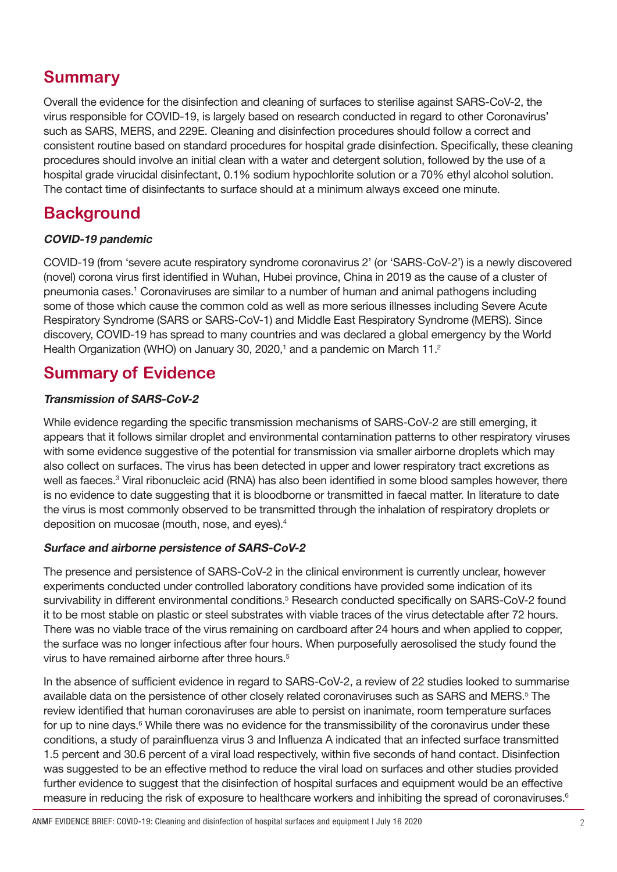# **Summary**

Overall the evidence for the disinfection and cleaning of surfaces to sterilise against SARS-CoV-2, the virus responsible for COVID-19, is largely based on research conducted in regard to other Coronavirus' such as SARS, MERS, and 229E. Cleaning and disinfection procedures should follow a correct and consistent routine based on standard procedures for hospital grade disinfection. Specifically, these cleaning procedures should involve an initial clean with a water and detergent solution, followed by the use of a hospital grade virucidal disinfectant, 0.1% sodium hypochlorite solution or a 70% ethyl alcohol solution. The contact time of disinfectants to surface should at a minimum always exceed one minute.

# **Background**

#### COVID-19 pandemic

COVID-19 (from 'severe acute respiratory syndrome coronavirus 2' (or 'SARS-CoV-2') is a newly discovered (novel) corona virus first identified in Wuhan, Hubei province, China in 2019 as the cause of a cluster of pneumonia cases.<sup>1</sup> Coronaviruses are similar to a number of human and animal pathogens including some of those which cause the common cold as well as more serious illnesses including Severe Acute Respiratory Syndrome (SARS or SARS-CoV-1) and Middle East Respiratory Syndrome (MERS). Since discovery, COVID-19 has spread to many countries and was declared a global emergency by the World Health Organization (WHO) on January 30, 2020,<sup>1</sup> and a pandemic on March 11.<sup>2</sup>

### **Summary of Evidence**

#### Transmission of SARS-CoV-2

While evidence regarding the specific transmission mechanisms of SARS-CoV-2 are still emerging, it appears that it follows similar droplet and environmental contamination patterns to other respiratory viruses with some evidence suggestive of the potential for transmission via smaller airborne droplets which may also collect on surfaces. The virus has been detected in upper and lower respiratory tract excretions as well as faeces.<sup>3</sup> Viral ribonucleic acid (RNA) has also been identified in some blood samples however, there is no evidence to date suggesting that it is bloodborne or transmitted in faecal matter. In literature to date the virus is most commonly observed to be transmitted through the inhalation of respiratory droplets or deposition on mucosae (mouth, nose, and eyes).4

#### Surface and airborne persistence of SARS-CoV-2

The presence and persistence of SARS-CoV-2 in the clinical environment is currently unclear, however experiments conducted under controlled laboratory conditions have provided some indication of its survivability in different environmental conditions.<sup>5</sup> Research conducted specifically on SARS-CoV-2 found it to be most stable on plastic or steel substrates with viable traces of the virus detectable after 72 hours. There was no viable trace of the virus remaining on cardboard after 24 hours and when applied to copper, the surface was no longer infectious after four hours. When purposefully aerosolised the study found the virus to have remained airborne after three hours.<sup>5</sup>

In the absence of sufficient evidence in regard to SARS-CoV-2, a review of 22 studies looked to summarise available data on the persistence of other closely related coronaviruses such as SARS and MERS.<sup>5</sup> The review identified that human coronaviruses are able to persist on inanimate, room temperature surfaces for up to nine days.<sup>6</sup> While there was no evidence for the transmissibility of the coronavirus under these conditions, a study of parainfluenza virus 3 and Influenza A indicated that an infected surface transmitted 1.5 percent and 30.6 percent of a viral load respectively, within five seconds of hand contact. Disinfection was suggested to be an effective method to reduce the viral load on surfaces and other studies provided further evidence to suggest that the disinfection of hospital surfaces and equipment would be an effective measure in reducing the risk of exposure to healthcare workers and inhibiting the spread of coronaviruses.<sup>6</sup>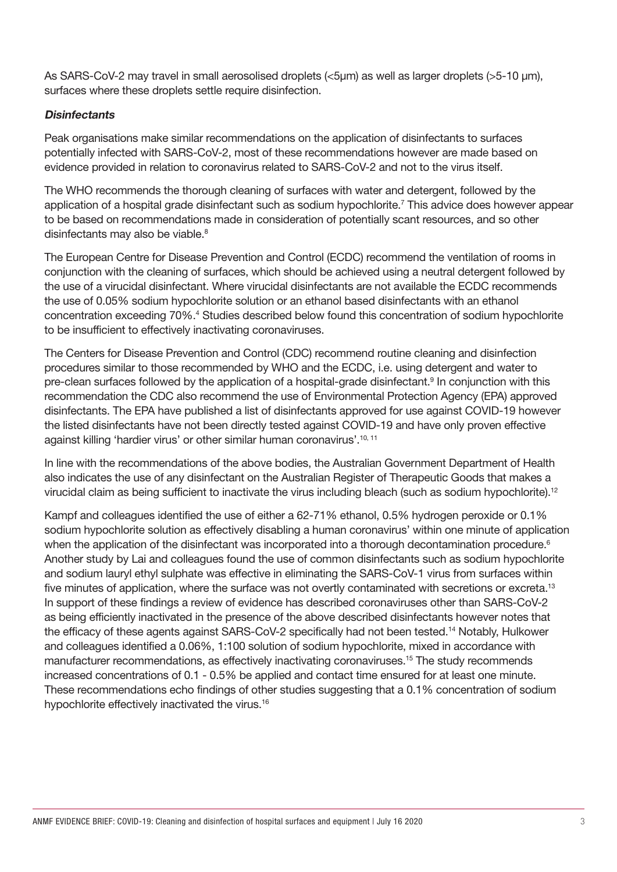As SARS-CoV-2 may travel in small aerosolised droplets (<5μm) as well as larger droplets (>5-10 μm), surfaces where these droplets settle require disinfection.

#### **Disinfectants**

Peak organisations make similar recommendations on the application of disinfectants to surfaces potentially infected with SARS-CoV-2, most of these recommendations however are made based on evidence provided in relation to coronavirus related to SARS-CoV-2 and not to the virus itself.

The WHO recommends the thorough cleaning of surfaces with water and detergent, followed by the application of a hospital grade disinfectant such as sodium hypochlorite.7 This advice does however appear to be based on recommendations made in consideration of potentially scant resources, and so other disinfectants may also be viable.<sup>8</sup>

The European Centre for Disease Prevention and Control (ECDC) recommend the ventilation of rooms in conjunction with the cleaning of surfaces, which should be achieved using a neutral detergent followed by the use of a virucidal disinfectant. Where virucidal disinfectants are not available the ECDC recommends the use of 0.05% sodium hypochlorite solution or an ethanol based disinfectants with an ethanol concentration exceeding 70%.<sup>4</sup> Studies described below found this concentration of sodium hypochlorite to be insufficient to effectively inactivating coronaviruses.

The Centers for Disease Prevention and Control (CDC) recommend routine cleaning and disinfection procedures similar to those recommended by WHO and the ECDC, i.e. using detergent and water to pre-clean surfaces followed by the application of a hospital-grade disinfectant.<sup>9</sup> In conjunction with this recommendation the CDC also recommend the use of Environmental Protection Agency (EPA) approved disinfectants. The EPA have published a list of disinfectants approved for use against COVID-19 however the listed disinfectants have not been directly tested against COVID-19 and have only proven effective against killing 'hardier virus' or other similar human coronavirus'.<sup>10, 11</sup>

In line with the recommendations of the above bodies, the Australian Government Department of Health also indicates the use of any disinfectant on the Australian Register of Therapeutic Goods that makes a virucidal claim as being sufficient to inactivate the virus including bleach (such as sodium hypochlorite).12

Kampf and colleagues identified the use of either a 62-71% ethanol, 0.5% hydrogen peroxide or 0.1% sodium hypochlorite solution as effectively disabling a human coronavirus' within one minute of application when the application of the disinfectant was incorporated into a thorough decontamination procedure.<sup>6</sup> Another study by Lai and colleagues found the use of common disinfectants such as sodium hypochlorite and sodium lauryl ethyl sulphate was effective in eliminating the SARS-CoV-1 virus from surfaces within five minutes of application, where the surface was not overtly contaminated with secretions or excreta.<sup>13</sup> In support of these findings a review of evidence has described coronaviruses other than SARS-CoV-2 as being efficiently inactivated in the presence of the above described disinfectants however notes that the efficacy of these agents against SARS-CoV-2 specifically had not been tested.14 Notably, Hulkower and colleagues identified a 0.06%, 1:100 solution of sodium hypochlorite, mixed in accordance with manufacturer recommendations, as effectively inactivating coronaviruses.15 The study recommends increased concentrations of 0.1 - 0.5% be applied and contact time ensured for at least one minute. These recommendations echo findings of other studies suggesting that a 0.1% concentration of sodium hypochlorite effectively inactivated the virus.16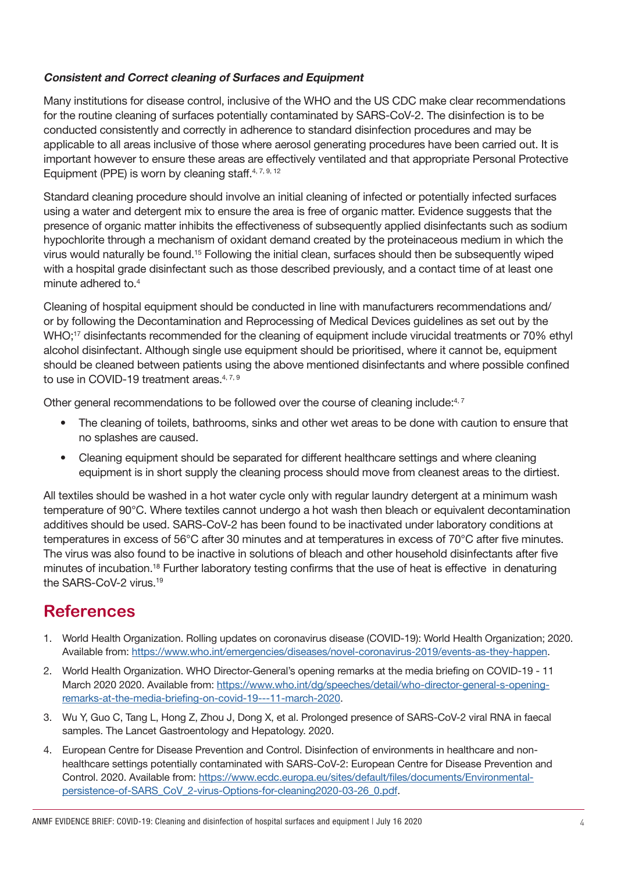#### Consistent and Correct cleaning of Surfaces and Equipment

Many institutions for disease control, inclusive of the WHO and the US CDC make clear recommendations for the routine cleaning of surfaces potentially contaminated by SARS-CoV-2. The disinfection is to be conducted consistently and correctly in adherence to standard disinfection procedures and may be applicable to all areas inclusive of those where aerosol generating procedures have been carried out. It is important however to ensure these areas are effectively ventilated and that appropriate Personal Protective Equipment (PPE) is worn by cleaning staff. $4, 7, 9, 12$ 

Standard cleaning procedure should involve an initial cleaning of infected or potentially infected surfaces using a water and detergent mix to ensure the area is free of organic matter. Evidence suggests that the presence of organic matter inhibits the effectiveness of subsequently applied disinfectants such as sodium hypochlorite through a mechanism of oxidant demand created by the proteinaceous medium in which the virus would naturally be found.15 Following the initial clean, surfaces should then be subsequently wiped with a hospital grade disinfectant such as those described previously, and a contact time of at least one minute adhered to.4

Cleaning of hospital equipment should be conducted in line with manufacturers recommendations and/ or by following the Decontamination and Reprocessing of Medical Devices guidelines as set out by the WHO;<sup>17</sup> disinfectants recommended for the cleaning of equipment include virucidal treatments or 70% ethyl alcohol disinfectant. Although single use equipment should be prioritised, where it cannot be, equipment should be cleaned between patients using the above mentioned disinfectants and where possible confined to use in COVID-19 treatment areas.<sup>4, 7, 9</sup>

Other general recommendations to be followed over the course of cleaning include:<sup>4, 7</sup>

- The cleaning of toilets, bathrooms, sinks and other wet areas to be done with caution to ensure that no splashes are caused.
- Cleaning equipment should be separated for different healthcare settings and where cleaning equipment is in short supply the cleaning process should move from cleanest areas to the dirtiest.

All textiles should be washed in a hot water cycle only with regular laundry detergent at a minimum wash temperature of 90°C. Where textiles cannot undergo a hot wash then bleach or equivalent decontamination additives should be used. SARS-CoV-2 has been found to be inactivated under laboratory conditions at temperatures in excess of 56°C after 30 minutes and at temperatures in excess of 70°C after five minutes. The virus was also found to be inactive in solutions of bleach and other household disinfectants after five minutes of incubation.<sup>18</sup> Further laboratory testing confirms that the use of heat is effective in denaturing the SARS-CoV-2 virus.<sup>19</sup>

# **References**

- 1. World Health Organization. Rolling updates on coronavirus disease (COVID-19): World Health Organization; 2020. Available from:<https://www.who.int/emergencies/diseases/novel-coronavirus-2019/events-as-they-happen>.
- 2. World Health Organization. WHO Director-General's opening remarks at the media briefing on COVID-19 11 March 2020 2020. Available from: [https://www.who.int/dg/speeches/detail/who-director-general-s-opening](https://www.who.int/dg/speeches/detail/who-director-general-s-opening-remarks-at-the-media-briefing-on-covid-19---11-march-2020)[remarks-at-the-media-briefing-on-covid-19---11-march-2020](https://www.who.int/dg/speeches/detail/who-director-general-s-opening-remarks-at-the-media-briefing-on-covid-19---11-march-2020).
- 3. Wu Y, Guo C, Tang L, Hong Z, Zhou J, Dong X, et al. Prolonged presence of SARS-CoV-2 viral RNA in faecal samples. The Lancet Gastroentology and Hepatology. 2020.
- 4. European Centre for Disease Prevention and Control. Disinfection of environments in healthcare and nonhealthcare settings potentially contaminated with SARS-CoV-2: European Centre for Disease Prevention and Control. 2020. Available from: [https://www.ecdc.europa.eu/sites/default/files/documents/Environmental](https://www.ecdc.europa.eu/sites/default/files/documents/Environmental-persistence-of-SARS_CoV_2-virus-Options-for-cleaning2020-03-26_0.pdf.)[persistence-of-SARS\\_CoV\\_2-virus-Options-for-cleaning2020-03-26\\_0.pdf.](https://www.ecdc.europa.eu/sites/default/files/documents/Environmental-persistence-of-SARS_CoV_2-virus-Options-for-cleaning2020-03-26_0.pdf.)